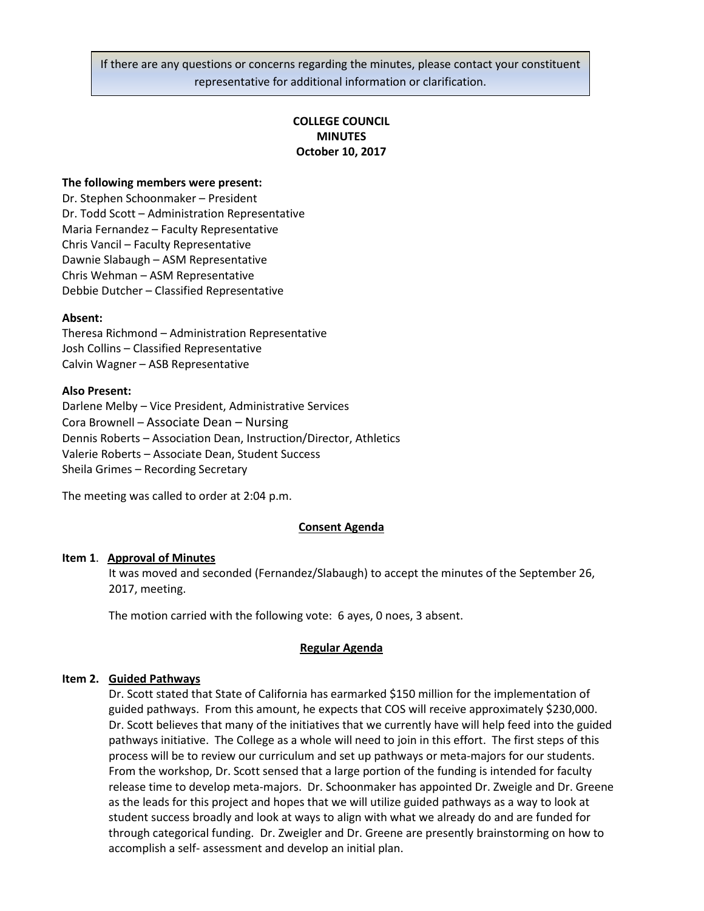If there are any questions or concerns regarding the minutes, please contact your constituent representative for additional information or clarification.

# **COLLEGE COUNCIL MINUTES October 10, 2017**

### **The following members were present:**

Dr. Stephen Schoonmaker – President Dr. Todd Scott – Administration Representative Maria Fernandez – Faculty Representative Chris Vancil – Faculty Representative Dawnie Slabaugh – ASM Representative Chris Wehman – ASM Representative Debbie Dutcher – Classified Representative

#### **Absent:**

Theresa Richmond – Administration Representative Josh Collins – Classified Representative Calvin Wagner – ASB Representative

#### **Also Present:**

Darlene Melby – Vice President, Administrative Services Cora Brownell – Associate Dean – Nursing Dennis Roberts – Association Dean, Instruction/Director, Athletics Valerie Roberts – Associate Dean, Student Success Sheila Grimes – Recording Secretary

The meeting was called to order at 2:04 p.m.

#### **Consent Agenda**

#### **Item 1**. **Approval of Minutes**

It was moved and seconded (Fernandez/Slabaugh) to accept the minutes of the September 26, 2017, meeting.

The motion carried with the following vote: 6 ayes, 0 noes, 3 absent.

### **Regular Agenda**

#### **Item 2. Guided Pathways**

Dr. Scott stated that State of California has earmarked \$150 million for the implementation of guided pathways. From this amount, he expects that COS will receive approximately \$230,000. Dr. Scott believes that many of the initiatives that we currently have will help feed into the guided pathways initiative. The College as a whole will need to join in this effort. The first steps of this process will be to review our curriculum and set up pathways or meta-majors for our students. From the workshop, Dr. Scott sensed that a large portion of the funding is intended for faculty release time to develop meta-majors. Dr. Schoonmaker has appointed Dr. Zweigle and Dr. Greene as the leads for this project and hopes that we will utilize guided pathways as a way to look at student success broadly and look at ways to align with what we already do and are funded for through categorical funding. Dr. Zweigler and Dr. Greene are presently brainstorming on how to accomplish a self- assessment and develop an initial plan.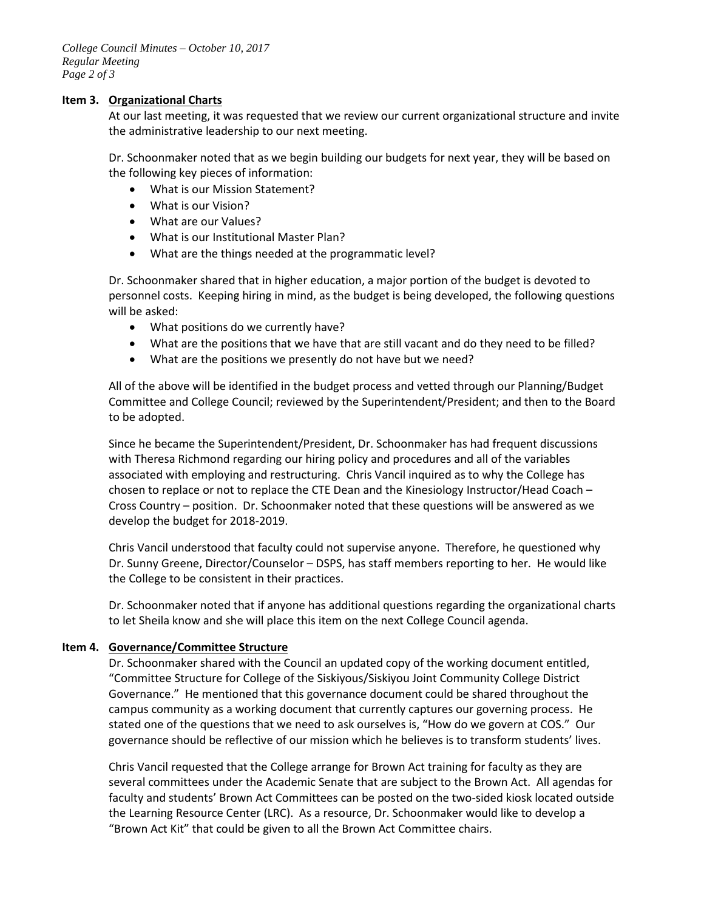### **Item 3. Organizational Charts**

At our last meeting, it was requested that we review our current organizational structure and invite the administrative leadership to our next meeting.

Dr. Schoonmaker noted that as we begin building our budgets for next year, they will be based on the following key pieces of information:

- What is our Mission Statement?
- What is our Vision?
- What are our Values?
- What is our Institutional Master Plan?
- What are the things needed at the programmatic level?

Dr. Schoonmaker shared that in higher education, a major portion of the budget is devoted to personnel costs. Keeping hiring in mind, as the budget is being developed, the following questions will be asked:

- What positions do we currently have?
- What are the positions that we have that are still vacant and do they need to be filled?
- What are the positions we presently do not have but we need?

All of the above will be identified in the budget process and vetted through our Planning/Budget Committee and College Council; reviewed by the Superintendent/President; and then to the Board to be adopted.

Since he became the Superintendent/President, Dr. Schoonmaker has had frequent discussions with Theresa Richmond regarding our hiring policy and procedures and all of the variables associated with employing and restructuring. Chris Vancil inquired as to why the College has chosen to replace or not to replace the CTE Dean and the Kinesiology Instructor/Head Coach – Cross Country – position. Dr. Schoonmaker noted that these questions will be answered as we develop the budget for 2018-2019.

Chris Vancil understood that faculty could not supervise anyone. Therefore, he questioned why Dr. Sunny Greene, Director/Counselor – DSPS, has staff members reporting to her. He would like the College to be consistent in their practices.

Dr. Schoonmaker noted that if anyone has additional questions regarding the organizational charts to let Sheila know and she will place this item on the next College Council agenda.

## **Item 4. Governance/Committee Structure**

Dr. Schoonmaker shared with the Council an updated copy of the working document entitled, "Committee Structure for College of the Siskiyous/Siskiyou Joint Community College District Governance." He mentioned that this governance document could be shared throughout the campus community as a working document that currently captures our governing process. He stated one of the questions that we need to ask ourselves is, "How do we govern at COS." Our governance should be reflective of our mission which he believes is to transform students' lives.

Chris Vancil requested that the College arrange for Brown Act training for faculty as they are several committees under the Academic Senate that are subject to the Brown Act. All agendas for faculty and students' Brown Act Committees can be posted on the two-sided kiosk located outside the Learning Resource Center (LRC). As a resource, Dr. Schoonmaker would like to develop a "Brown Act Kit" that could be given to all the Brown Act Committee chairs.